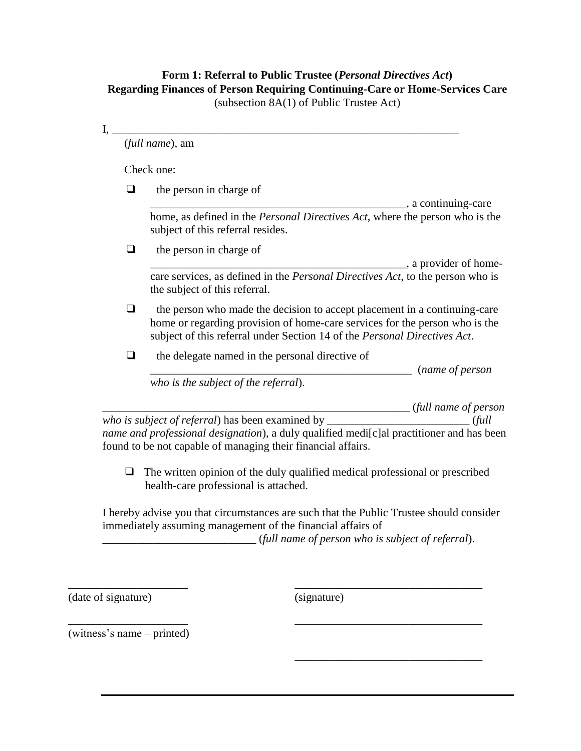## **Form 1: Referral to Public Trustee (***Personal Directives Act***) Regarding Finances of Person Requiring Continuing-Care or Home-Services Care** (subsection 8A(1) of Public Trustee Act)

I, \_\_\_\_\_\_\_\_\_\_\_\_\_\_\_\_\_\_\_\_\_\_\_\_\_\_\_\_\_\_\_\_\_\_\_\_\_\_\_\_\_\_\_\_\_\_\_\_\_\_\_\_\_\_\_\_\_\_\_\_\_

(*full name*), am

Check one:

 $\Box$  the person in charge of

\_\_\_\_\_\_\_\_\_\_\_\_\_\_\_\_\_\_\_\_\_\_\_\_\_\_\_\_\_\_\_\_\_\_\_\_\_\_\_\_\_\_\_\_\_, a continuing-care home, as defined in the *Personal Directives Act*, where the person who is the subject of this referral resides.

❑ the person in charge of

\_\_\_\_\_\_\_\_\_\_\_\_\_\_\_\_\_\_\_\_\_\_\_\_\_\_\_\_\_\_\_\_\_\_\_\_\_\_\_\_\_\_\_\_\_, a provider of homecare services, as defined in the *Personal Directives Act*, to the person who is the subject of this referral.

 $\Box$  the person who made the decision to accept placement in a continuing-care home or regarding provision of home-care services for the person who is the subject of this referral under Section 14 of the *Personal Directives Act*.

 $\Box$  the delegate named in the personal directive of

\_\_\_\_\_\_\_\_\_\_\_\_\_\_\_\_\_\_\_\_\_\_\_\_\_\_\_\_\_\_\_\_\_\_\_\_\_\_\_\_\_\_\_\_\_\_ (*name of person* 

*who is the subject of the referral*).

\_\_\_\_\_\_\_\_\_\_\_\_\_\_\_\_\_\_\_\_\_\_\_\_\_\_\_\_\_\_\_\_\_\_\_\_\_\_\_\_\_\_\_\_\_\_\_\_\_\_\_\_\_\_ (*full name of person* 

*who is subject of referral*) has been examined by \_\_\_\_\_\_\_\_\_\_\_\_\_\_\_\_\_\_\_\_\_\_\_\_\_ (*full name and professional designation*), a duly qualified medi[c]al practitioner and has been found to be not capable of managing their financial affairs.

 $\Box$  The written opinion of the duly qualified medical professional or prescribed health-care professional is attached.

I hereby advise you that circumstances are such that the Public Trustee should consider immediately assuming management of the financial affairs of

\_\_\_\_\_\_\_\_\_\_\_\_\_\_\_\_\_\_\_\_\_\_\_\_\_\_\_ (*full name of person who is subject of referral*).

\_\_\_\_\_\_\_\_\_\_\_\_\_\_\_\_\_\_\_\_\_\_\_\_\_\_\_\_\_\_\_\_\_

\_\_\_\_\_\_\_\_\_\_\_\_\_\_\_\_\_\_\_\_\_\_\_\_\_\_\_\_\_\_\_\_\_

\_\_\_\_\_\_\_\_\_\_\_\_\_\_\_\_\_\_\_\_\_\_\_\_\_\_\_\_\_\_\_\_\_

(date of signature)

(signature)

\_\_\_\_\_\_\_\_\_\_\_\_\_\_\_\_\_\_\_\_\_ (witness's name – printed)

\_\_\_\_\_\_\_\_\_\_\_\_\_\_\_\_\_\_\_\_\_